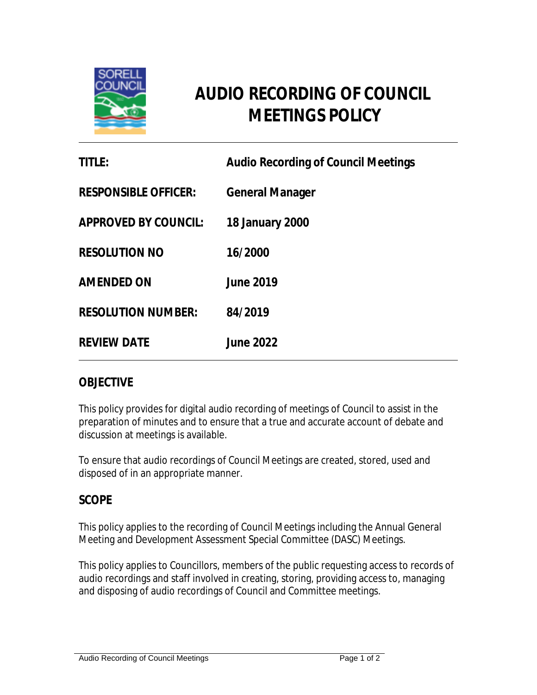

# **AUDIO RECORDING OF COUNCIL MEETINGS POLICY**

| TITLE:                      | <b>Audio Recording of Council Meetings</b> |
|-----------------------------|--------------------------------------------|
| <b>RESPONSIBLE OFFICER:</b> | <b>General Manager</b>                     |
| <b>APPROVED BY COUNCIL:</b> | 18 January 2000                            |
| <b>RESOLUTION NO</b>        | 16/2000                                    |
| <b>AMENDED ON</b>           | <b>June 2019</b>                           |
| <b>RESOLUTION NUMBER:</b>   | 84/2019                                    |
| <b>REVIEW DATE</b>          | <b>June 2022</b>                           |

#### **OBJECTIVE**

This policy provides for digital audio recording of meetings of Council to assist in the preparation of minutes and to ensure that a true and accurate account of debate and discussion at meetings is available.

To ensure that audio recordings of Council Meetings are created, stored, used and disposed of in an appropriate manner.

### **SCOPE**

This policy applies to the recording of Council Meetings including the Annual General Meeting and Development Assessment Special Committee (DASC) Meetings.

This policy applies to Councillors, members of the public requesting access to records of audio recordings and staff involved in creating, storing, providing access to, managing and disposing of audio recordings of Council and Committee meetings.